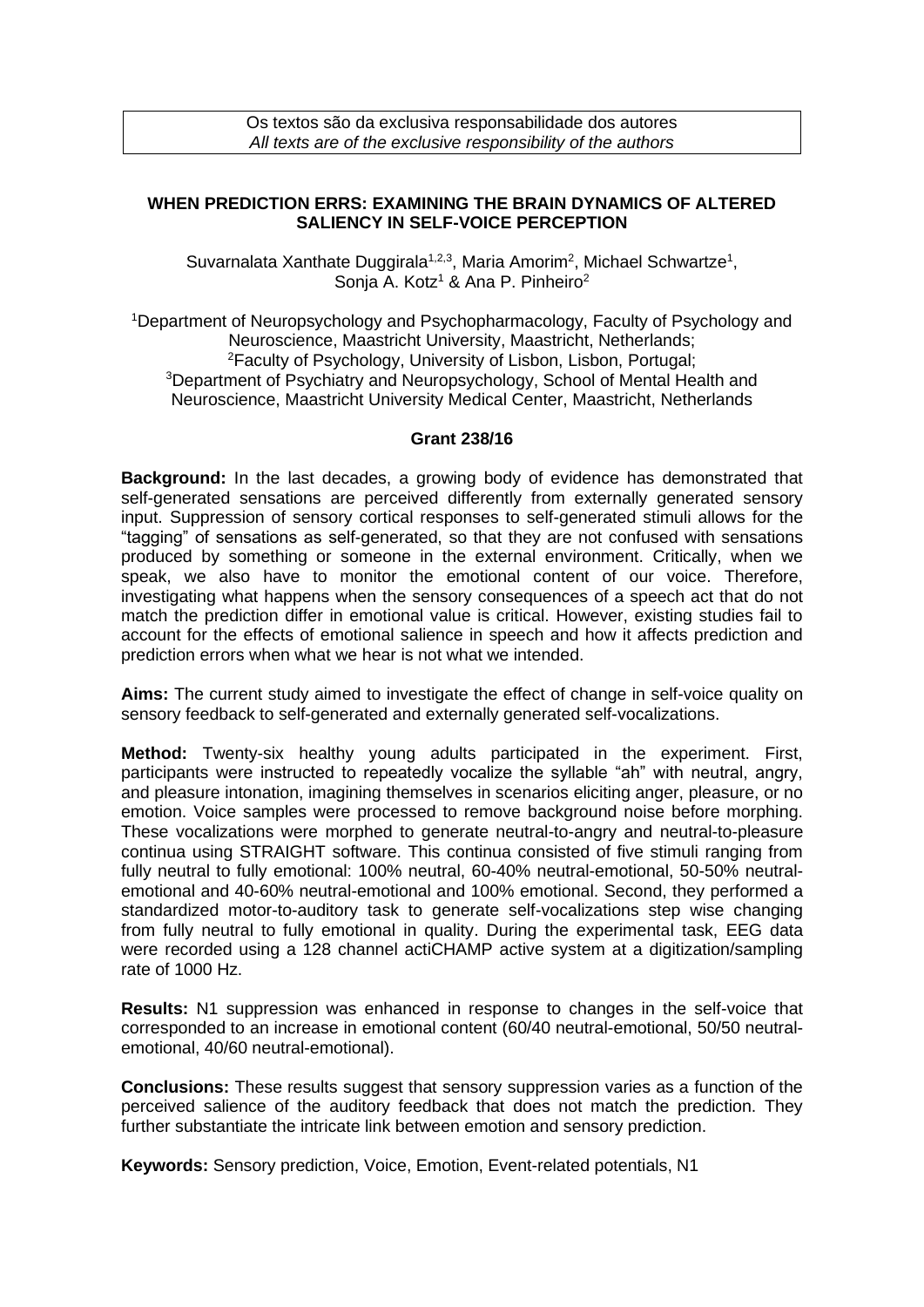## **WHEN PREDICTION ERRS: EXAMINING THE BRAIN DYNAMICS OF ALTERED SALIENCY IN SELF-VOICE PERCEPTION**

Suvarnalata Xanthate Duggirala<sup>1,2,3</sup>, Maria Amorim<sup>2</sup>, Michael Schwartze<sup>1</sup>, Sonia A. Kotz<sup>1</sup> & Ana P. Pinheiro<sup>2</sup>

<sup>1</sup>Department of Neuropsychology and Psychopharmacology, Faculty of Psychology and Neuroscience, Maastricht University, Maastricht, Netherlands; <sup>2</sup>Faculty of Psychology, University of Lisbon, Lisbon, Portugal; <sup>3</sup>Department of Psychiatry and Neuropsychology, School of Mental Health and Neuroscience, Maastricht University Medical Center, Maastricht, Netherlands

## **Grant 238/16**

**Background:** In the last decades, a growing body of evidence has demonstrated that self-generated sensations are perceived differently from externally generated sensory input. Suppression of sensory cortical responses to self-generated stimuli allows for the "tagging" of sensations as self-generated, so that they are not confused with sensations produced by something or someone in the external environment. Critically, when we speak, we also have to monitor the emotional content of our voice. Therefore, investigating what happens when the sensory consequences of a speech act that do not match the prediction differ in emotional value is critical. However, existing studies fail to account for the effects of emotional salience in speech and how it affects prediction and prediction errors when what we hear is not what we intended.

**Aims:** The current study aimed to investigate the effect of change in self-voice quality on sensory feedback to self-generated and externally generated self-vocalizations.

**Method:** Twenty-six healthy young adults participated in the experiment. First, participants were instructed to repeatedly vocalize the syllable "ah" with neutral, angry, and pleasure intonation, imagining themselves in scenarios eliciting anger, pleasure, or no emotion. Voice samples were processed to remove background noise before morphing. These vocalizations were morphed to generate neutral-to-angry and neutral-to-pleasure continua using STRAIGHT software. This continua consisted of five stimuli ranging from fully neutral to fully emotional: 100% neutral, 60-40% neutral-emotional, 50-50% neutralemotional and 40-60% neutral-emotional and 100% emotional. Second, they performed a standardized motor-to-auditory task to generate self-vocalizations step wise changing from fully neutral to fully emotional in quality. During the experimental task, EEG data were recorded using a 128 channel actiCHAMP active system at a digitization/sampling rate of 1000 Hz.

**Results:** N1 suppression was enhanced in response to changes in the self-voice that corresponded to an increase in emotional content (60/40 neutral-emotional, 50/50 neutralemotional, 40/60 neutral-emotional).

**Conclusions:** These results suggest that sensory suppression varies as a function of the perceived salience of the auditory feedback that does not match the prediction. They further substantiate the intricate link between emotion and sensory prediction.

**Keywords:** Sensory prediction, Voice, Emotion, Event-related potentials, N1